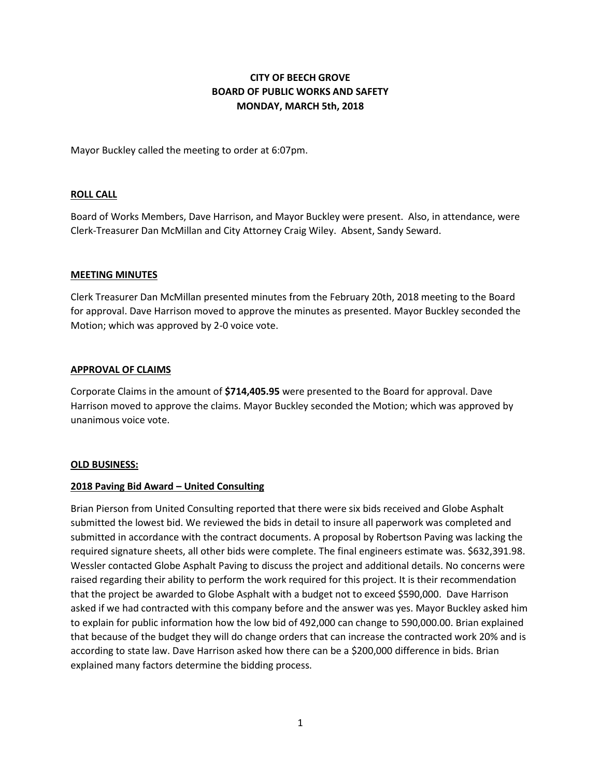# **CITY OF BEECH GROVE BOARD OF PUBLIC WORKS AND SAFETY MONDAY, MARCH 5th, 2018**

Mayor Buckley called the meeting to order at 6:07pm.

### **ROLL CALL**

Board of Works Members, Dave Harrison, and Mayor Buckley were present. Also, in attendance, were Clerk-Treasurer Dan McMillan and City Attorney Craig Wiley. Absent, Sandy Seward.

### **MEETING MINUTES**

Clerk Treasurer Dan McMillan presented minutes from the February 20th, 2018 meeting to the Board for approval. Dave Harrison moved to approve the minutes as presented. Mayor Buckley seconded the Motion; which was approved by 2-0 voice vote.

### **APPROVAL OF CLAIMS**

Corporate Claims in the amount of **\$714,405.95** were presented to the Board for approval. Dave Harrison moved to approve the claims. Mayor Buckley seconded the Motion; which was approved by unanimous voice vote.

#### **OLD BUSINESS:**

## **2018 Paving Bid Award – United Consulting**

Brian Pierson from United Consulting reported that there were six bids received and Globe Asphalt submitted the lowest bid. We reviewed the bids in detail to insure all paperwork was completed and submitted in accordance with the contract documents. A proposal by Robertson Paving was lacking the required signature sheets, all other bids were complete. The final engineers estimate was. \$632,391.98. Wessler contacted Globe Asphalt Paving to discuss the project and additional details. No concerns were raised regarding their ability to perform the work required for this project. It is their recommendation that the project be awarded to Globe Asphalt with a budget not to exceed \$590,000. Dave Harrison asked if we had contracted with this company before and the answer was yes. Mayor Buckley asked him to explain for public information how the low bid of 492,000 can change to 590,000.00. Brian explained that because of the budget they will do change orders that can increase the contracted work 20% and is according to state law. Dave Harrison asked how there can be a \$200,000 difference in bids. Brian explained many factors determine the bidding process.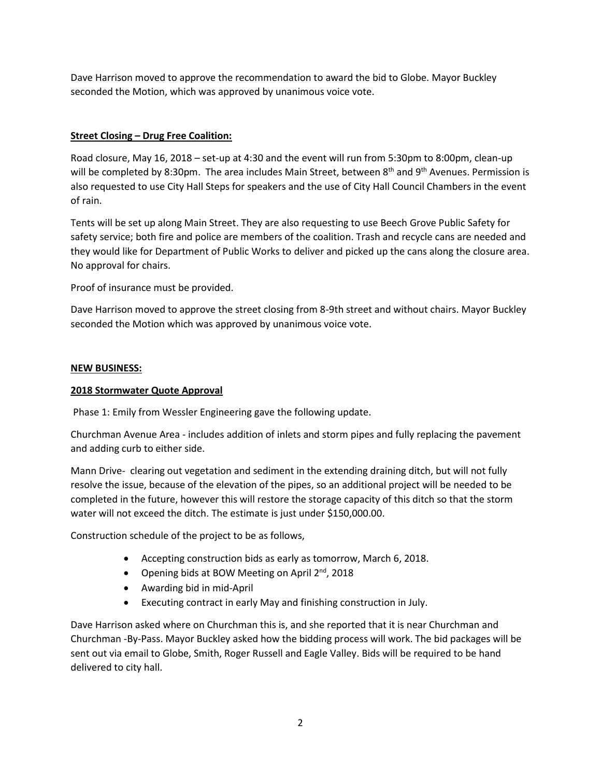Dave Harrison moved to approve the recommendation to award the bid to Globe. Mayor Buckley seconded the Motion, which was approved by unanimous voice vote.

## **Street Closing – Drug Free Coalition:**

Road closure, May 16, 2018 – set-up at 4:30 and the event will run from 5:30pm to 8:00pm, clean-up will be completed by 8:30pm. The area includes Main Street, between 8<sup>th</sup> and 9<sup>th</sup> Avenues. Permission is also requested to use City Hall Steps for speakers and the use of City Hall Council Chambers in the event of rain.

Tents will be set up along Main Street. They are also requesting to use Beech Grove Public Safety for safety service; both fire and police are members of the coalition. Trash and recycle cans are needed and they would like for Department of Public Works to deliver and picked up the cans along the closure area. No approval for chairs.

Proof of insurance must be provided.

Dave Harrison moved to approve the street closing from 8-9th street and without chairs. Mayor Buckley seconded the Motion which was approved by unanimous voice vote.

## **NEW BUSINESS:**

## **2018 Stormwater Quote Approval**

Phase 1: Emily from Wessler Engineering gave the following update.

Churchman Avenue Area - includes addition of inlets and storm pipes and fully replacing the pavement and adding curb to either side.

Mann Drive- clearing out vegetation and sediment in the extending draining ditch, but will not fully resolve the issue, because of the elevation of the pipes, so an additional project will be needed to be completed in the future, however this will restore the storage capacity of this ditch so that the storm water will not exceed the ditch. The estimate is just under \$150,000.00.

Construction schedule of the project to be as follows,

- Accepting construction bids as early as tomorrow, March 6, 2018.
- Opening bids at BOW Meeting on April 2<sup>nd</sup>, 2018
- Awarding bid in mid-April
- Executing contract in early May and finishing construction in July.

Dave Harrison asked where on Churchman this is, and she reported that it is near Churchman and Churchman -By-Pass. Mayor Buckley asked how the bidding process will work. The bid packages will be sent out via email to Globe, Smith, Roger Russell and Eagle Valley. Bids will be required to be hand delivered to city hall.